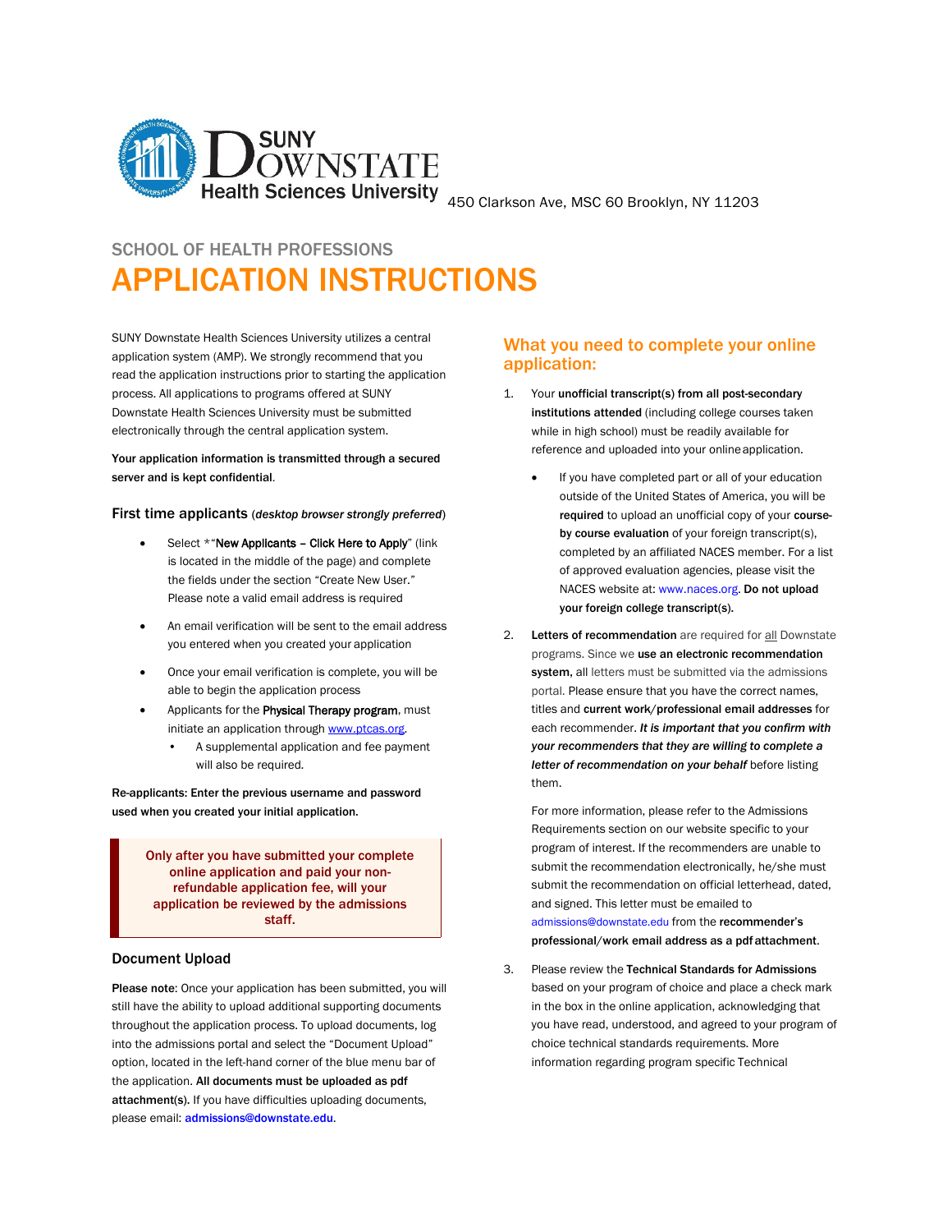

# SCHOOL OF HEALTH PROFESSIONS

# APPLICATION INSTRUCTIONS

 application system (AMP). We strongly recommend that you Downstate Health Sciences University must be submitted SUNY Downstate Health Sciences University utilizes a central read the application instructions prior to starting the application process. All applications to programs offered at SUNY electronically through the central application system.

# Your application information is transmitted through a secured server and is kept confidential.

## First time applicants (*desktop browser strongly preferred*)

- Please note a valid email address is required Select \*"New Applicants - Click Here to Apply" (link is located in the middle of the page) and complete the fields under the section "Create New User."
- • An email verification will be sent to the email address you entered when you created your application
- • Once your email verification is complete, you will be able to begin the application process
- initiate an application through www.ptcas.org. Applicants for the Physical Therapy program, must
	- A supplemental application and fee payment will also be required*.*

Re-applicants: Enter the previous username and password used when you created your initial application.

> application be reviewed by the admissions Only after you have submitted your complete online application and paid your nonrefundable application fee, will your staff.

# Document Upload

 throughout the application process. To upload documents, log into the admissions portal and select the "Document Upload" option, located in the left-hand corner of the blue menu bar of Please note: Once your application has been submitted, you will still have the ability to upload additional supporting documents the application. All documents must be uploaded as pdf attachment(s). If you have difficulties uploading documents, please email: [admissions@downstate.edu](mailto:admissions@downstate.edu).

# What you need to complete your online application:

- institutions attended (including college courses taken reference and uploaded into your onlineapplication. 1. Your unofficial transcript(s) from all post-secondary while in high school) must be readily available for
	- outside of the United States of America, you will be required to upload an unofficial copy of your course- of approved evaluation agencies, please visit the If you have completed part or all of your education by course evaluation of your foreign transcript(s), completed by an affiliated NACES member. For a list NACES website at: [www.naces.org.](http://www.naces.org/) Do not upload your foreign college transcript(s).
- system, all letters must be submitted via the admissions portal. Please ensure that you have the correct names,  each recommender. *It is important that you confirm with your recommenders that they are willing to complete a letter of recommendation on your behalf* before listing 2. Letters of recommendation are required for all Downstate programs. Since we use an electronic recommendation titles and current work/professional email addresses for them.

 Requirements section on our website specific to your program of interest. If the recommenders are unable to For more information, please refer to the Admissions submit the recommendation electronically, he/she must submit the recommendation on official letterhead, dated, and signed. This letter must be emailed to [admissions@downstate.edu f](mailto:admissions@downstate.edu)rom the recommender's professional/work email address as a pdf attachment.

 3. Please review the Technical Standards for Admissions based on your program of choice and place a check mark you have read, understood, and agreed to your program of information regarding program specific Technical in the box in the online application, acknowledging that choice technical standards requirements. More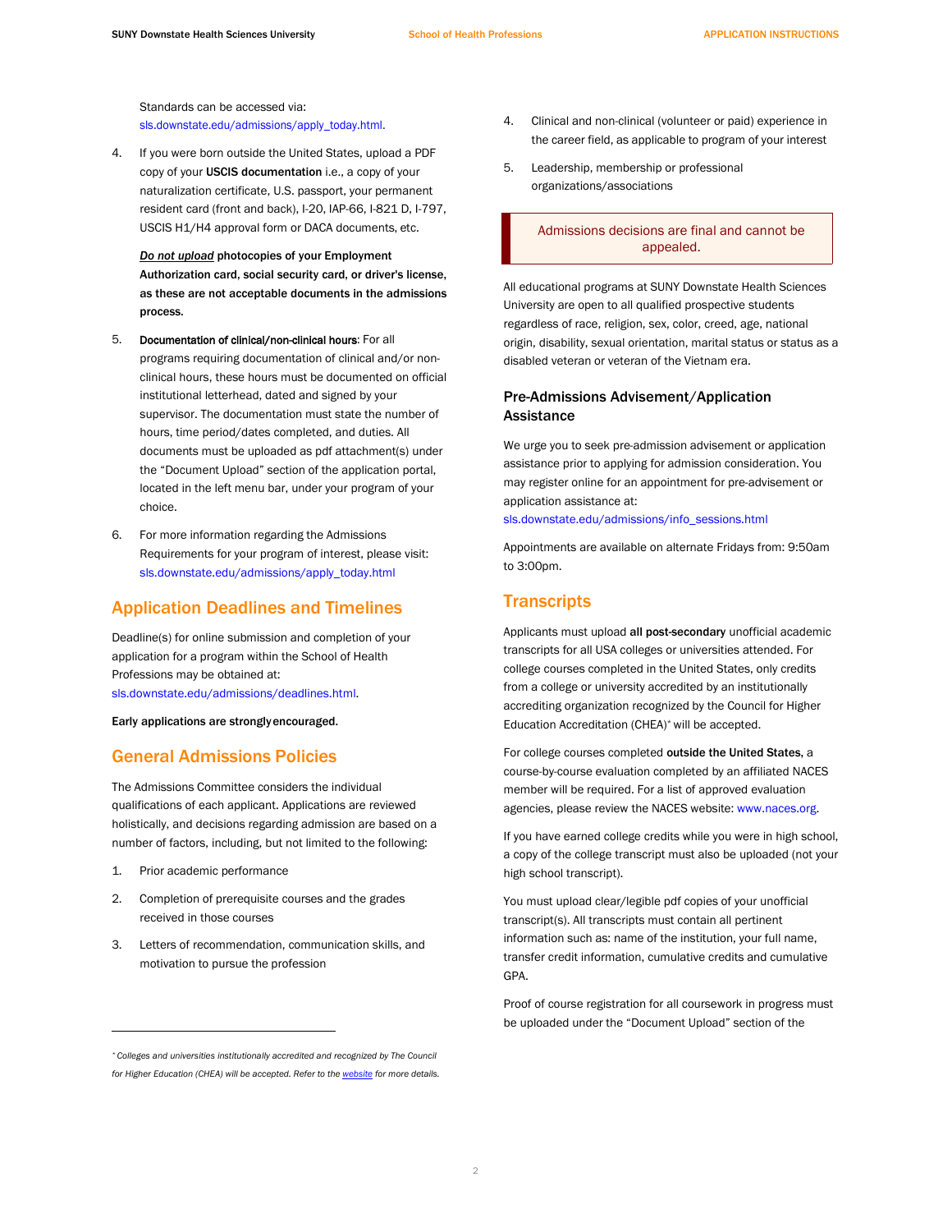Standards can be accessed via: [sls.downstate.edu/admissions/apply\\_today.html](https://sls.downstate.edu/admissions/apply_today.html).

 4. If you were born outside the United States, upload a PDF copy of your USCIS documentation i.e., a copy of your naturalization certificate, U.S. passport, your permanent USCIS H1/H4 approval form or DACA documents, etc. resident card (front and back), I-20, IAP-66, I-821 D, I-797,

*Do not upload* photocopies of your Employment Authorization card, social security card, or driver's license, as these are not acceptable documents in the admissions process.

- supervisor. The documentation must state the number of located in the left menu bar, under your program of your 5. Documentation of clinical/non-clinical hours: For all programs requiring documentation of clinical and/or nonclinical hours, these hours must be documented on official institutional letterhead, dated and signed by your hours, time period/dates completed, and duties. All documents must be uploaded as pdf attachment(s) under the "Document Upload" section of the application portal, choice.
- 6. For more information regarding the Admissions Requirements for your program of interest, please visit: [sls.downstate.edu/admissions/apply\\_today.html](https://sls.downstate.edu/admissions/apply_today.html)

# Application Deadlines and Timelines

 Deadline(s) for online submission and completion of your application for a program within the School of Health Professions may be obtained at: [sls.downstate.edu/admissions/deadlines.html.](https://sls.downstate.edu/admissions/deadlines.html)

Early applications are stronglyencouraged.

# General Admissions Policies

The Admissions Committee considers the individual qualifications of each applicant. Applications are reviewed holistically, and decisions regarding admission are based on a number of factors, including, but not limited to the following:

- 1. Prior academic performance
- received in those courses 2. Completion of prerequisite courses and the grades
- motivation to pursue the profession 3. Letters of recommendation, communication skills, and
- the career field, as applicable to program of your interest 4. Clinical and non-clinical (volunteer or paid) experience in
- 5. Leadership, membership or professional organizations/associations

I Admissions decisions are final and cannot be appealed.

 All educational programs at SUNY Downstate Health Sciences University are open to all qualified prospective students regardless of race, religion, sex, color, creed, age, national origin, disability, sexual orientation, marital status or status as a disabled veteran or veteran of the Vietnam era.

# Pre-Admissions Advisement/Application Assistance

We urge you to seek pre-admission advisement or application assistance prior to applying for admission consideration. You may register online for an appointment for pre-advisement or application assistance at:

[sls.downstate.edu/admissions/info\\_sessions.html](https://sls.downstate.edu/admissions/info_sessions.html)

Appointments are available on alternate Fridays from: 9:50am to 3:00pm.

# **Transcripts**

Applicants must upload all post-secondary unofficial academic college courses completed in the United States, only credits transcripts for all USA colleges or universities attended. For from a college or university accredited by an institutionally accrediting organization recognized by the Council for Higher Education Accreditation (CHEA)\* will be accepted.

agencies, please review the NACES website: www.naces.org. For college courses completed outside the United States, a course-by-course evaluation completed by an affiliated NACES member will be required. For a list of approved evaluation

 a copy of the college transcript must also be uploaded (not your If you have earned college credits while you were in high school, high school transcript).

You must upload clear/legible pdf copies of your unofficial transcript(s). All transcripts must contain all pertinent information such as: name of the institution, your full name, transfer credit information, cumulative credits and cumulative GPA.

 be uploaded under the "Document Upload" section of the Proof of course registration for all coursework in progress must

*<sup>\*</sup> Colleges and universities institutionally accredited and recognized by The Council for Higher Education (CHEA) will be accepted. Refer to th[e website f](https://sls.downstate.edu/admissions/sohp/pt/index.html)or more details.*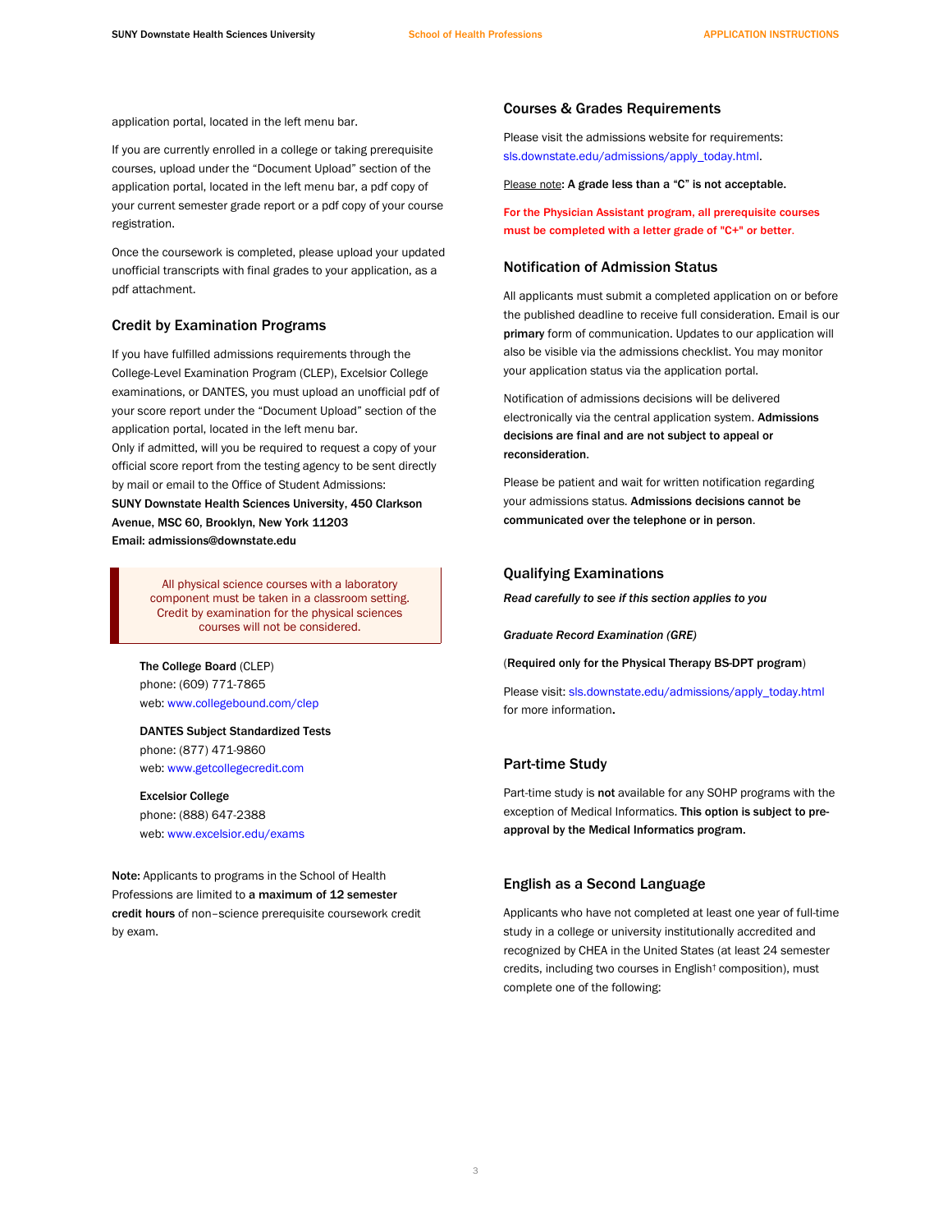application portal, located in the left menu bar.

 courses, upload under the "Document Upload" section of the application portal, located in the left menu bar, a pdf copy of If you are currently enrolled in a college or taking prerequisite your current semester grade report or a pdf copy of your course registration.

Once the coursework is completed, please upload your updated unofficial transcripts with final grades to your application, as a pdf attachment.

# Credit by Examination Programs

 If you have fulfilled admissions requirements through the College-Level Examination Program (CLEP), Excelsior College examinations, or DANTES, you must upload an unofficial pdf of your score report under the "Document Upload" section of the application portal, located in the left menu bar.

 Only if admitted, will you be required to request a copy of your official score report from the testing agency to be sent directly by mail or email to the Office of Student Admissions: SUNY Downstate Health Sciences University, 450 Clarkson Avenue, MSC 60, Brooklyn, New York 11203 Email[: admissions@downstate.edu](mailto:admissions@downstate.edu) 

P<br>
Cor<br>
Ci All physical science courses with a laboratory component must be taken in a classroom setting. Credit by examination for the physical sciences courses will not be considered.

The College Board (CLEP) phone: (609) 771-7865 web: [www.collegebound.com/clep](http://www.collegebound.com/clep) 

DANTES Subject Standardized Tests

phone: (877) 471-9860 web: [www.getcollegecredit.com](http://www.getcollegecredit.com/) 

Excelsior College phone: (888) 647-2388

web: [www.excelsior.edu/exams](http://www.excelsior.edu/exams) 

Note: Applicants to programs in the School of Health Professions are limited to a maximum of 12 semester credit hours of non–science prerequisite coursework credit by exam.

# Courses & Grades Requirements

Please visit the admissions website for requirements: [sls.downstate.edu/admissions/apply\\_today.html](https://sls.downstate.edu/admissions/apply_today.html).

Please note: A grade less than a "C" is not acceptable.

For the Physician Assistant program, all prerequisite courses must be completed with a letter grade of "C+" or better.

# Notification of Admission Status

 the published deadline to receive full consideration. Email is our primary form of communication. Updates to our application will also be visible via the admissions checklist. You may monitor All applicants must submit a completed application on or before your application status via the application portal.

Notification of admissions decisions will be delivered electronically via the central application system. Admissions decisions are final and are not subject to appeal or reconsideration.

 Please be patient and wait for written notification regarding communicated over the telephone or in person. your admissions status. Admissions decisions cannot be

# Qualifying Examinations

*Read carefully to see if this section applies to you* 

*Graduate Record Examination (GRE)* 

(Required only for the Physical Therapy BS-DPT program)

Please visit: [sls.downstate.edu/admissions/apply\\_today.html](https://sls.downstate.edu/admissions/apply_today.html) for more information.

# Part-time Study

Part-time study is not available for any SOHP programs with the exception of Medical Informatics. This option is subject to preapproval by the Medical Informatics program.

# English as a Second Language

 Applicants who have not completed at least one year of full-time recognized by CHEA in the United States (at least 24 semester complete one of the following: study in a college or university institutionally accredited and credits, including two courses in English† composition), must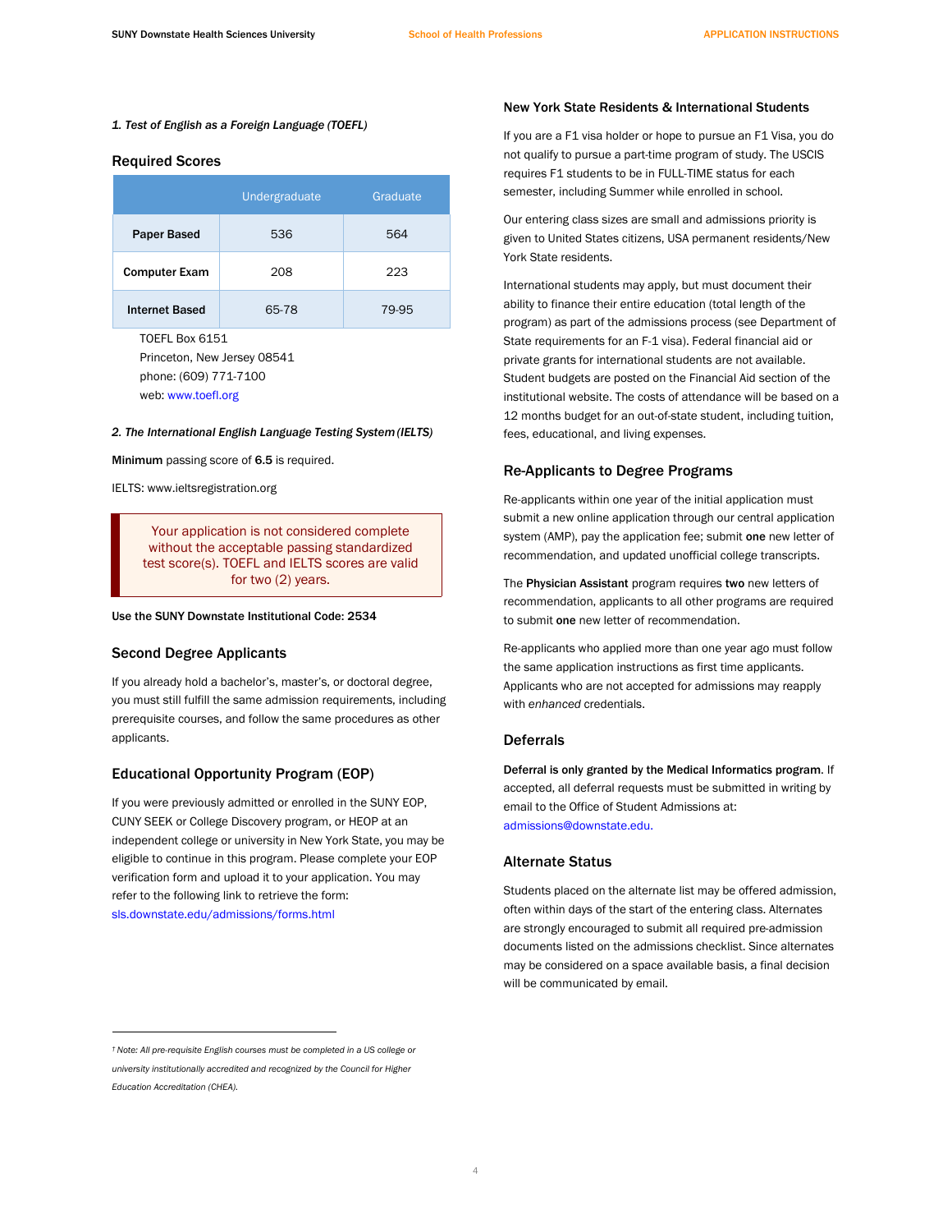#### *1. Test of English as a Foreign Language (TOEFL)*

#### Required Scores

|                       | Undergraduate | Graduate |
|-----------------------|---------------|----------|
| <b>Paper Based</b>    | 536           | 564      |
| <b>Computer Exam</b>  | 208           | 223      |
| <b>Internet Based</b> | 65-78         | 79-95    |

TOEFL Box 6151 Princeton, New Jersey 08541 phone: (609) 771-7100 web: [www.toefl.org](http://www.toefl.org/) 

#### *2. The International English Language Testing System (IELTS)*

Minimum passing score of 6.5 is required.

IELTS[: www.ieltsregistration.org](http://www.ieltsregistration.org/) 

You<br>
with<br>
test s Your application is not considered complete without the acceptable passing standardized test score(s). TOEFL and IELTS scores are valid for two (2) years.

Use the SUNY Downstate Institutional Code: 2534

### Second Degree Applicants

 you must still fulfill the same admission requirements, including If you already hold a bachelor's, master's, or doctoral degree, prerequisite courses, and follow the same procedures as other applicants.

# Educational Opportunity Program (EOP)

 If you were previously admitted or enrolled in the SUNY EOP, independent college or university in New York State, you may be verification form and upload it to your application. You may refer to the following link to retrieve the form: CUNY SEEK or College Discovery program, or HEOP at an eligible to continue in this program. Please complete your EOP [sls.downstate.edu/admissions/forms.html](https://sls.downstate.edu/admissions/forms.html) 

# New York State Residents & International Students

 If you are a F1 visa holder or hope to pursue an F1 Visa, you do not qualify to pursue a part-time program of study. The USCIS requires F1 students to be in FULL-TIME status for each semester, including Summer while enrolled in school.

 given to United States citizens, USA permanent residents/New Our entering class sizes are small and admissions priority is York State residents.

 International students may apply, but must document their Student budgets are posted on the Financial Aid section of the ability to finance their entire education (total length of the program) as part of the admissions process (see Department of State requirements for an F-1 visa). Federal financial aid or private grants for international students are not available. institutional website. The costs of attendance will be based on a 12 months budget for an out-of-state student, including tuition, fees, educational, and living expenses.

# Re-Applicants to Degree Programs

 Re-applicants within one year of the initial application must system (AMP), pay the application fee; submit one new letter of submit a new online application through our central application recommendation, and updated unofficial college transcripts.

The Physician Assistant program requires two new letters of recommendation, applicants to all other programs are required to submit one new letter of recommendation.

 Re-applicants who applied more than one year ago must follow the same application instructions as first time applicants. Applicants who are not accepted for admissions may reapply with *enhanced* credentials.

## **Deferrals**

 Deferral is only granted by the Medical Informatics program. If accepted, all deferral requests must be submitted in writing by email to the Office of Student Admissions at: [admissions@downstate.edu.](mailto:admissions@downstate.edu) 

## Alternate Status

 Students placed on the alternate list may be offered admission, often within days of the start of the entering class. Alternates are strongly encouraged to submit all required pre-admission documents listed on the admissions checklist. Since alternates may be considered on a space available basis, a final decision will be communicated by email.

 *† Note: All pre-requisite English courses must be completed in a US college or university institutionally accredited and recognized by the Council for Higher Education Accreditation (CHEA).*